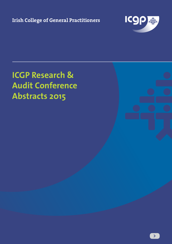**Irish College of General Practitioners**



# **ICGP Research & Audit Conference Abstracts 2015**

**>**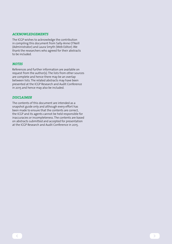#### *ACKNOWLEDGEMENTS*

The ICGP wishes to acknowledge the contribution in compiling this document from Sally-Anne O'Neill (Administrator) and Laura Smyth (Web Editor). We thank the researchers who agreed for their abstracts to be included.

#### *NOTES*

References and further information are available on request from the author(s). The lists from other sources are complete and hence there may be an overlap between lists. The related abstracts may have been presented at the ICGP Research and Audit Conference in 2015 and hence may also be included.

#### *DISCLAIMER*

The contents of this document are intended as a snapshot guide only and although every effort has been made to ensure that the contents are correct, the ICGP and its agents cannot be held responsible for inaccuracies or incompleteness. The contents are based on abstracts submitted and accepted for presentation at the ICGP Research and Audit Conference in 2015.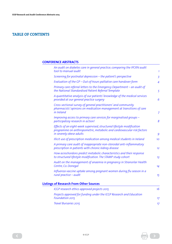# **TABLE OF CONTENTS**

# **CONFERENCE ABSTRACTS**

| An audit on diabetes care in general practice; comparing the IPCRN audit<br>tool to manual audit                                                                             | $\mathbf{1}$    |
|------------------------------------------------------------------------------------------------------------------------------------------------------------------------------|-----------------|
| Screening for postnatal depression - the patient's perspective                                                                                                               | $\overline{3}$  |
| Evaluation of the GP - Out-of-hours palliative care handover form                                                                                                            | $\overline{4}$  |
| Primary care referral letters to the Emergency Department - an audit of<br>the National Standardised Patient Referral Template                                               | 5               |
| A quantitative analysis of our patients' knowledge of the medical services<br>provided at our general practice surgery                                                       | 6               |
| Cross-sectional survey of general practitioners' and community<br>pharmacists' opinions on medication management at transitions of care<br>in Ireland                        | $\overline{7}$  |
| Improving access to primary care services for marginalised groups -<br>participatory research in action!                                                                     | 8               |
| Effects of an eight-week supervised, structured lifestyle modification<br>programme on anthropometric, metabolic and cardiovascular risk factors<br>in severely obese adults | 9               |
| Illicit use of prescription medication among medical students in Ireland                                                                                                     | 10 <sup>°</sup> |
| A primary care audit of inappropriate non-steroidal anti-inflammatory<br>prescription in patients with chronic kidney disease                                                | 12              |
| How acrochordons predict metabolic characteristics and their response<br>to structured lifestyle modification. The STAMP study cohort                                        | 13              |
| Audit on the management of anaemia in pregnancy in Stranorlar Health<br>Centre, Co. Donegal                                                                                  | 14              |
| Influenza vaccine uptake among pregnant women during flu season in a<br>rural practice - audit                                                                               | 15              |
| <b>Listings of Research From Other Sources</b>                                                                                                                               |                 |
| ICGP research ethics approved projects 2015                                                                                                                                  | 16              |
| Projects approved for funding under the ICGP Research and Education<br>Foundation 2015                                                                                       | 17              |

*[Travel Bursaries 2015](#page-19-0) 17*

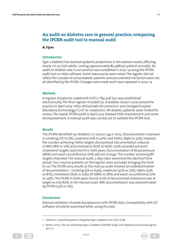# <span id="page-3-0"></span>**An audit on diabetes care in general practice; comparing the IPCRN audit tool to manual audit**

*N. Flynn*

# *Introduction*

Type 2 diabetes has reached epidemic proportions in the western world, affecting nearly 1 in 20 Irish adults<sup>1</sup>, costing approximately €2,468 per patient annually<sup>2</sup>. An audit on diabetic care in our practice was completed in 2013–14 using the IPCRN audit tool on Helix software. Some inaccuracies were noted. The register did not reflect the number of active diabetic patients and documented risk factors were not all identified by the IPCRN. Changes were made and it was repeated in 2014–15.

# *Methods*

A register of patients coded with ICPC2; T89 and T90 was established electronically. The final register included 131. A diabetic liaison nurse joined the practice in April 2014. Helix refined data for extraction and changed hospital laboratory terminology ('U+E' to 'creatinine'). All diabetic patients were invited for review. The repeat IPCRN audit in April 2015 showed little improvement and some disimprovement. A manual audit was carried out to validate the IPCRN tool.

# *Results*

The IPCRN identified 150 diabetics in 2014 vs 144 in 2015. Documentation improved in smoking (1% to 5%), creatinine (0% to 41%), and HbA1c (69% to 73%), however, the number achieving HbA1c targets disimproved. Documentation reduced in BMI (18% to 15%) and cholesterol (67% to 65%). 100% recorded achieved cholesterol targets (≤5mmol/l) in both years. Documentation of blood pressure (68%) and waist circumference (0%) did not change. The number achieving BP targets improved. The manual audit, 5 days later, examined the identical time period. Four inactive patients on the register were excluded, bringing the total to 127. The IPCRN 2015 results vs the manual audit showed an underestimation of documentation – smoking  $(5\%$  vs  $64\%)$ , creatinine  $(41\%$  vs  $77\%)$ , HbA1c  $(73\%$ vs 81%), cholesterol (65% vs 72%), BP (68% vs 78%) and waist circumference (0% vs 29%). The IPCRN in both years found 100% of documented cholesterol was at target vs only 80% in the manual audit. BMI documentation was overestimated by IPCRN (15% vs 11%).

# *Conclusions*

Manual validation showed discrepancies with IPCRN data. Compatibility with GP software should be examined when using this tool.

*<sup>2</sup> Nolan JJ et al. The cost of treating type 2 Diabetes (CODEIRE study). Irish Medical journal 2006; 99(10); 307–10*





*<sup>1</sup> Harkins V. A practical guide to integrated type 2 diabetes care. ICGP 2008*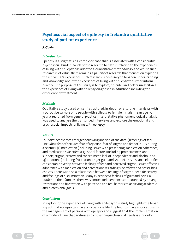# **Psychosocial aspect of epilepsy in Ireland: a qualitative study of patient experience**

#### *S. Gavin*

# *Introduction*

Epilepsy is a stigmatising chronic disease that is associated with a considerable psychosocial burden. Much of the research to date in relation to the experiences of living with epilepsy has adopted a quantitative methodology and whilst such research is of value, there remains a paucity of research that focuses on exploring the individual's experience. Such research is necessary to broaden understanding and knowledge about the experience of living with epilepsy to further inform practice. The purpose of this study is to explore, describe and better understand the experience of living with epilepsy diagnosed in adulthood including the experience of treatment.

# *Methods*

Qualitative study based on semi structured, in-depth, one-to-one interviews with a purposive sample of 12 people with epilepsy (9 female, 3 male, mean age 35 years), recruited from general practice. Interpretative phenomenological analysis was used to analyse the transcribed interviews and explore the emotional and psychosocial impacts of living with epilepsy.

# *Results*

Four distinct themes emerged following analysis of the data: (1) feelings of fear (including fear of seizures, fear of rejection, fear of stigma and fear of injury during a seizure); (2) medication (including issues with prescribing, medication adherence, and medication side effects); (3) social factors (including protectiveness and support, stigma, secrecy and concealment, lack of independence and alcohol; and (4) emotions (including frustration, anger, guilt and shame). This research identified considerable overlap between feelings of fear and perceived stigma, issues affecting adherence with medication and perceptions regarding side effects and prescribing choices. There was also a relationship between feelings of stigma, need for secrecy and feelings of discrimination. Many experienced feelings of guilt and being a burden to their families. There was limited independence, compounded by driving restrictions and frustration with perceived and real barriers to achieving academic and professional goals.

# *Conclusions*

 $\left( \begin{array}{c} 1 \\ 2 \\ 3 \end{array} \right)$ 

In exploring the experience of living with epilepsy this study highlights the broad impact that epilepsy can have on a person's life. The findings have implications for the management of persons with epilepsy and suggest that the implementation of a model of care that addresses complex biopsychosocial needs is a priority.

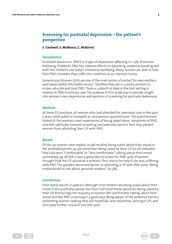# <span id="page-5-0"></span>**Screening for postnatal depression – the patient's perspective**

#### *E. Cantwell, E. McManus, C. McKenna*

#### *Introduction*

Postnatal depression (PND) is a type of depression affecting 10–15% of women following childbirth. PND has adverse effects on parenting, maternal bonding and both the mother's and baby's emotional wellbeing. Many women are able to hide their PND, however, they suffer the condition as an internal misery.

General practitioners (GPs) are one of the main points of contact for new mothers and babies within the health service. Therefore they are in a prime position to screen, educate and treat PND. There is a dearth of data in the Irish setting in relation to PND in primary care. The purpose of this study was to provide insight into women's own experiences and opinions of screening for postnatal depression.

#### *Methods*

At three GP practices, all women who had attended for antenatal care in the past 5 years were asked to complete an anonymous questionnaire. The questionnaire looked at the woman's own experiences of being asked about symptoms of PND and their attitudes towards screening and potential barriers that may prevent women from attending their GP with PND.

#### *Results*

Of the 141 women who replied, 70.9% recalled being asked about their mood in the postnatal period. 40.4% remember being asked by their GP. 70.2% indicated they had been "Comfortable" to "Very comfortable" talking about their mood postnatally. 94.3% felt it was a good idea to screen for PND. 42% of women thought that the GP would be a woman's first choice for help if she was suffering with PND. The greatest perceived barrier to attending a GP with PND were "Being embarrassed to talk about personal matters" (72.3%).

#### *Conclusions*

 $\left( \begin{array}{c} 1 \\ 2 \\ 3 \end{array} \right)$ 

From these results it appears although most women are being asked about their mood in the postnatal period, less than half recall these questions being asked by their GP. Promisingly the majority of women felt comfortable talking about their mood and feel PND screening is a good idea. Being aware of the potential barriers preventing women seeking help will hopefully raise awareness amongst GPs and stimulate further research into this area.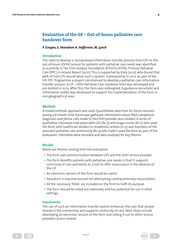# <span id="page-6-0"></span>**Evaluation of the GP – Out-of-hours palliative care handover form**

#### *P. Gregan, E. Shanahan A. Heffernan, M, Lynch*

# *Introduction*

The need to develop a standardised information transfer process from GPs to the out-of-hours (OOH) service for patients with palliative care needs was identified as a priority in the Irish Hospice Foundation (IHF)/ICGP/HSE, Primary Palliative Care (PPC) in Ireland Report (2011). This is supported by Kiely (2013) who found that 96% of Irish GPs would value such a system. Subsequently in 2012, as part of the IHF PPC Programme a project commenced to develop a palliative care information transfer process. A GP – OOH Palliative Care handover form was developed and pre-piloted in 2013. After this, the form was redesigned. A guidance document and information leaflet was developed to support the implementation of the form in one geographical area.

# *Methods*

A mixed methods approach was used. Quantitative data from 60 forms received during a 6 month time frame was gathered. Information about field completion, diagnoses and phone calls made to the OOH provider was collated. A series of qualitative interviews took place with GPs (N=7) and triage nurses (N=7) who used the form, with healthcare workers in residential centres  $(n=5)$  and members of the specialist palliative care community ( $N=3$ ) who hadn't used the form as part of the evaluation. Interviews were recorded and data analysed for key themes.

# *Results*

Below are themes arising from the evaluation.

- **•** The form aids communication between GPs and the OOH service provider.
- **•** The form benefits patients with palliative care needs in that it supports continuity of care and works as a tool to offer reassurance in the absence of the GP.
- **•** An electronic version of the form would be useful.
- **•** Education is required around not attempting cardiopulmonary resuscitation.
- **•** All the necessary 'fields' are included on the form to fulfil its purpose.
- **•** The form should be rolled out nationally and has potential for use in other settings.

# *Conclusions*

The use of such an information transfer system enhances the care that people receive in the community and supports continuity of care. Next steps include developing an electronic version of the form and rolling it out to other service providers across Ireland.

 $\left( \begin{array}{c} 1 \\ 2 \\ 3 \end{array} \right)$ 

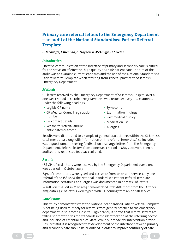# <span id="page-7-0"></span>**Primary care referral letters to the Emergency Department – an audit of the National Standardised Patient Referral Template**

#### *B. McAuliffe, J. Brennan, C. Hayden, B. McAuliffe, D. Shields*

# *Introduction*

Effective communication at the interface of primary and secondary care is critical for the provision of effective, high quality and safe patient care. The aim of this audit was to examine current standards and the use of the National Standardised Patient Referral Template when referring from general practice to St James's Emergency Department.

# *Methods*

GP letters received by the Emergency Department of St James's Hospital over a one week period in October 2013 were reviewed retrospectively and examined under the following headings:

- **•** Legible GP name
- **•** GP Medical Council registration number
- **•** GP contact details
- **•** Reason for referral and/or anticipated outcome
- **•** Symptoms
- **•** Examination findings
- **•** Past medical history
- **•** Medication list
- **•** Allergies

Results were distributed to a sample of general practitioners within the St James's catchment area along with information on the referral template. Also included was a questionnaire seeking feedback on discharge letters from the Emergency Department. Referral letters from a one week period in May 2014 were then reaudited, and requested feedback collated.

# *Results*

188 GP referral letters were received by the Emergency Department over a one week period in October 2013.

64% of these letters were typed and 14% were from an on call service. Only one referral of the 188 used the National Standardised Patient Referral Template. Information pertaining to allergies was documented in only 22% of letters.

Results on re-audit in May 2014 demonstrated little difference from the October 2013 data. 63% of letters were typed with 8% coming from an on call service.

# *Conclusions*

 $\left( \begin{array}{c} 1 \\ 2 \\ 3 \end{array} \right)$ 

This study demonstrates that the National Standardised Patient Referral Template is not being used routinely for referrals from general practice to the emergency department in St James's Hospital. Significantly, it shows that referral letters are falling short of the desired standards in the identification of the referring doctor and inclusion of essential clinical data. While our model for intervention proved unsuccessful, it is recognised that development of the interface between primary and secondary care should be prioritised in order to improve continuity of care.

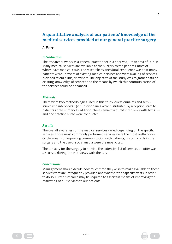# <span id="page-8-0"></span>**A quantitative analysis of our patients' knowledge of the medical services provided at our general practice surgery**

*A. Barry* 

#### *Introduction*

The researcher works as a general practitioner in a deprived, urban area of Dublin. Many medical services are available at the surgery to the patients, most of whom have medical cards. The researcher's anecdotal experience was that many patients were unaware of existing medical services and were availing of services, provided at our clinic, elsewhere. The objective of the study was to gather data on existing knowledge of services and the means by which this communication of the services could be enhanced.

#### *Methods*

There were two methodologies used in this study: questionnaires and semistructured interviews. 150 questionnaires were distributed, by reception staff, to patients at the surgery. In addition, three semi-structured interviews with two GPs and one practice nurse were conducted.

# *Results*

The overall awareness of the medical services varied depending on the specific services. Those most commonly performed services were the most well-known. Of the means of improving communication with patients, poster boards in the surgery and the use of social media were the most cited.

The capacity for the surgery to provide the extensive list of services on offer was discussed during the interviews with the GPs.

# *Conclusions*

 $\left( \begin{array}{c} 1 \\ 2 \\ 3 \end{array} \right)$ 

Management should decide how much time they wish to make available to those services that are infrequently provided and whether the capacity exists in order to do so. Further research may be required to ascertain means of improving the marketing of our services to our patients.

© ICGP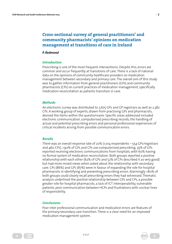# <span id="page-9-0"></span>**Cross-sectional survey of general practitioners' and community pharmacists' opinions on medication management at transitions of care in Ireland**

#### *P. Redmond*

# *Introduction*

Prescribing is one of the most frequent interventions. Despite this, errors are common and occur frequently at transitions of care. There is a lack of national data on the opinions of community healthcare providers on medication management between secondary and primary care. The overall aim of this study was to gather information from general practitioners (GPs) and community pharmacists (CPs) on current practices of medication management, specifically medication reconciliation as patients transition in care.

# *Methods*

An electronic survey was distributed to 2,675 GPs and GP registrars as well as 2,382 CPs. A working group of experts, drawn from practising GPs and pharmacists, devised the items within the questionnaire. Specific areas addressed included electronic communication, computerised prescribing records, the handling of actual and potential prescribing errors and personal professional experiences of critical incidents arising from possible communication errors.

# *Results*

There was an overall response rate of 20% (1,014 respondents – 554 GPs/registrars and 460 CPs). >90% of GPs and CPs use computerised prescribing. 35% of GPs reported receiving electronic communications from hospitals, with 60% having no formal system of medication reconciliation. Both groups reported a positive relationship with each other (62% of GPs and 52% of CPs described it as very good) but had more mixed views when asked about the relationship with secondary care. CPs (86%) and GPs (87%) were in favour of expanding the role for hospital pharmacists in identifying and preventing prescribing errors. Alarmingly >80% of both groups could clearly recall prescribing errors they had witnessed. Thematic analysis underlined the positive relationship between GPs and CPs, a possible greater role for hospital pharmacists, a lack of ICT interoperability, vulnerable patients, poor communication between HCPs and frustrations with unclear lines of responsibility.

# *Conclusions*

 $\left( \begin{array}{c} 1 \\ 2 \\ 3 \end{array} \right)$ 

Poor inter professional communication and medication errors are features of the primary/secondary care transition. There is a clear need for an improved medication management system.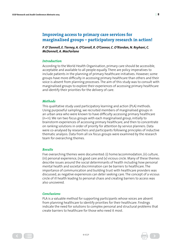# <span id="page-10-0"></span>**Improving access to primary care services for marginalised groups – participatory research in action!**

# *P. O' Donnell, E. Tierney, A. O'Carroll, R. O'Connor, C. O'Riordan, N. Reyhani, C. McDonnell, A. MacFarlane*

# *Introduction*

According to the World Health Organisation, primary care should be accessible, acceptable and available to all people equally. There are policy imperatives to include patients in the planning of primary healthcare initiatives. However, some groups have more difficulty in accessing primary healthcare than others and their voice is absent from planning processes. The aim of this study was to consult with marginalised groups to explore their experiences of accessing primary healthcare and identify their priorities for the delivery of care.

# *Methods*

This qualitative study used participatory learning and action (PLA) methods. Using purposeful sampling, we recruited members of marginalised groups in an urban area who were known to have difficulty accessing primary healthcare (n=11). We ran two focus groups with each marginalised group, initially to brainstorm experiences of accessing primary healthcare, and then to concentrate on ranking solutions in order of priority for attention by service planners. Data were co-analysed by researchers and participants following principles of inductive thematic analysis. Data from all six focus groups were examined by the research team for overarching themes.

# *Results*

Five overarching themes were documented: (i) home/accommodation, (ii) culture, (iii) personal experience, (iv) good care and (v) vicious circle. Many of these themes describe issues around the social determinants of health including how personal mental health and societal discrimination can be barriers to healthcare. The importance of communication and building trust with healthcare providers was discussed, as negative experiences can deter seeking care. The concept of a vicious circle of ill health leading to personal chaos and creating barriers to access was also uncovered.

# *Conclusions*

 $\left( \begin{array}{c} 1 \\ 2 \\ 3 \end{array} \right)$ 

PLA is a valuable method for supporting participants whose voices are absent from planning healthcare to identify priorities for their healthcare. Findings indicate the need for solutions to complex personal and structural problems that create barriers to healthcare for those who need it most.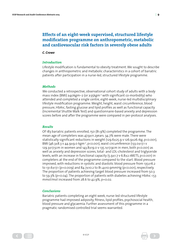# <span id="page-11-0"></span>**Effects of an eight-week supervised, structured lifestyle modification programme on anthropometric, metabolic and cardiovascular risk factors in severely obese adults**

#### *C. Crowe*

# *Introduction*

Lifestyle modification is fundamental to obesity treatment. We sought to describe changes in anthropometric and metabolic characteristics in a cohort of bariatric patients after participation in a nurse-led, structured lifestyle programme.

# *Methods*

We conducted a retrospective, observational cohort study of adults with a body mass index (BMI) ≥40kgm–2 (or ≥35kgm-2 with significant co-morbidity) who attended and completed a single centre, eight-week, nurse-led multidisciplinary lifestyle modification programme. Weight, height, waist circumference, blood pressure, HbA1c, fasting glucose and lipid profiles as well as functional capacity (Incremental Shuttle Walk Test) and questionnaire-based anxiety and depression scores before and after the programme were compared in per-protocol analyses.

# *Results*

Of 183 bariatric patients enrolled, 150 (81.9%) completed the programme. The mean age of completers was 47.9±11.2years. 34.7% were male. There were statistically significant reductions in weight (129.6±25.9 v 126.9±26.1kg, p<0.001), BMI (46.3±8.3 v 44.9±9.0 kgm-2, p<0.001), waist circumference (133.0±17.1 v 129.3±17.5cm in women and  $143.8\pm19.0$  v  $135.1\pm17.9$ cm in men, both p<0.001) as well as anxiety and depression scores, total- and LDL-cholesterol and triglyceride levels, with an increase in functional capacity  $(5.9\pm1.7 \text{ v } 6.8\pm2.1 \text{METS}, p<0.001)$  in completers at the end of the programme compared to the start. Blood pressure improved, with reductions in systolic and diastolic blood pressure from 135±16.2 to 131.6 $\pm$ 17.1 (p=0.009) and 84.7 $\pm$ 10.2 to 81.4 $\pm$ 10.9mmHg (p<0.001), respectively. The proportion of patients achieving target blood pressure increased from 50.3 to 59.3% ( $p = 0.04$ ). The proportion of patients with diabetes achieving HbA1c <53 mmol/mol increased from 28.6 to 42.9%, p=0.02.

# *Conclusions*

 $\left( \begin{array}{c} 1 \\ 2 \\ 3 \end{array} \right)$ 

Bariatric patients completing an eight week, nurse-led structured lifestyle programme had improved adiposity, fitness, lipid profiles, psychosocial health, blood pressure and glycaemia. Further assessment of this programme in a pragmatic randomised controlled trial seems warranted.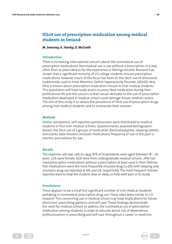# <span id="page-12-0"></span>**Illicit use of prescription medication among medical students in Ireland**

#### *M. Sweeney, K. Hanley, D. McGrath*

#### *Introduction*

There is increasing international concern about the nonmedical use of prescription medications. Nonmedical use is use without a prescription, in a way other than as prescribed or for the experience or feelings elicited. Research has shown that a significant minority of US college students misuse prescription medications, however much of the focus has been on the illicit use of stimulants traditionally used to treat Attention Deficit Hyperactivity Disorder (ADHD). Very little is known about prescription medication misuse in Irish medical students. This population will have ready access to prescribed medication during their professional life and the concern is that casual attitudes to the use of prescription medication developed in medical school could damage future medical careers. The aim of this study is to assess the prevalence of illicit use of prescription drugs among Irish medical students and to enumerate their motives.

# *Methods*

Online, anonymous, self-reported questionnaires were distributed to medical students in four Irish medical schools. Questionnaires assessed demographic details, the illicit use of 5 groups of medication (benzodiazepines, sleeping tablets, stimulants, beta-blockers and pain medication), frequency of use in the past 12 months and motives for use.

# *Results*

The response rate was 23% (n=744). 81% of respondents were aged between  $18 - 26$ years. 57% were female. 65% were from undergraduate medical schools. 26% had used prescription medications without a prescription at least once in their lifetime. Pain medications were the most frequently misused drug (12.5%) with sleeping and anxiolytic drug use reported at 6% and 5%, respectively. The most frequent motives reported were to help the student relax or sleep, to help with pain or to study.

# *Conclusions*

 $\left( \begin{array}{c} 1 \\ 2 \\ 3 \end{array} \right)$ 

There appears to be a small but significant number of Irish medical students partaking in nonmedical prescription drug use. These rates were similar to US research. This concerning use in medical school may have implications for future physicians' prescribing patterns and self-care. These findings demonstrate the need for medical schools to address the nonmedical use of prescription medication among students in order to educate about risk of dependence, professionalism in prescribing and self-care throughout a career in medicine.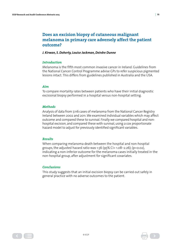# **Does an excision biopsy of cutaneous malignant melanoma in primary care adversely affect the patient outcome?**

#### *J. Kirwan, S. Doherty, Louise Jackman, Deirdre Dunne*

#### *Introduction*

Melanoma is the fifth most common invasive cancer in Ireland. Guidelines from the National Cancer Control Programme advise GPs to refer suspicious pigmented lesions intact. This differs from guidelines published in Australia and the USA.

#### *Aim*

To compare mortality rates between patients who have their initial diagnostic excisional biopsy performed in a hospital versus non-hospital setting.

#### *Methods*

Analysis of data from 7,116 cases of melanoma from the National Cancer Registry Ireland between 2002 and 2011. We examined individual variables which may affect outcome and compared these to survival. Finally we compared hospital and nonhospital excision, and compared these with survival, using a cox proportionate hazard model to adjust for previously identified significant variables.

#### *Results*

When comparing melanoma death between the hospital and non-hospital groups, the adjusted hazard ratio was 1.56 (95% CI= 1.08–2.26); (p=0.02), indicating a non-inferior outcome for the melanoma cases initially treated in the non-hospital group, after adjustment for significant covariates.

#### *Conclusions*

This study suggests that an initial excision biopsy can be carried out safely in general practice with no adverse outcomes to the patient.

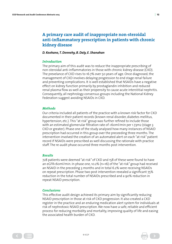# <span id="page-14-0"></span>**A primary care audit of inappropriate non-steroidal anti-inflammatory prescription in patients with chronic kidney disease**

#### *D. Keohane, T. Dennehy, B. Daly, E. Shanahan*

#### *Introduction*

The primary aim of this audit was to reduce the inappropriate prescribing of non-steroidal anti-inflammatories in those with chronic kidney disease (CKD). The prevelance of CKD rises to 16.7% over 50 years of age. Once diagnosed, the management of CKD involves delaying progression to end stage renal failure and preventing complications. It is well established that NSAIDs have a negative effect on kidney function primarily by prostaglandin inhibition and reduced renal plasma flow as well as their propensity to cause acute interstitial nephritis. Consequently, all nephrology consensus groups including the National Kidney Federation suggest avoiding NSAIDs in CKD.

# *Methods*

Our criteria included all patients of the practice with a known risk factor for CKD documented in their patient records (known renal disorder, diabetes mellitus, hypertension, etc.). This "at risk" group was further refined to include those with an estimated glomerular filtration rate of <60ml/min per 1.73m2 (stage 3 CKD or greater). Phase one of the study analysed how many instances of NSAID prescription had occurred in this group over the preceeding three months. The intervention involved the creation of an automated alert on each "at risk" patient record if NSAIDs were prescribed as well discussing the rationale with practice staff. The re-audit phase occurred three months post intervention.

# *Results*

728 patients were deemed "at risk" of CKD and 158 of these were found to have an eGFR<60ml/min. In phase one, 10.2% (n=16) of the "at risk" group had received an NSAID in the preceding 3 months and in total 6.2% were receiving NSAIDs on repeat prescription. Phase two post intervention revealed a significant 75% reduction in the total number of NSAIDs prescribed and a 90% reduction in repeat NSAID prescription.

# *Conclusions*

 $\left( \begin{array}{c} 1 \\ 2 \\ 3 \end{array} \right)$ 

This effective audit design achieved its primary aim by significantly reducing NSAID prescription in those at risk of CKD progression. It also created a CKD register in the practice and an enduring medication alert system for individuals at risk of nephrotoxic NSAID prescription. We now have a safe, reliable and efficient process for reducing morbidity and mortality, improving quality of life and easing the associated health burden of CKD.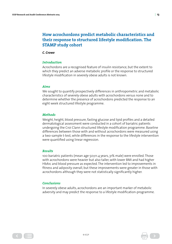# <span id="page-15-0"></span>**How acrochordons predict metabolic characteristics and their response to structured lifestyle modification. The STAMP study cohort**

#### *C. Crowe*

# *Introduction*

Acrochordons are a recognised feature of insulin resistance, but the extent to which they predict an adverse metabolic profile or the response to structured lifestyle modification in severely obese adults is not known.

# *Aims*

We sought to quantify prospectively differences in anthropometric and metabolic characteristics of severely obese adults with acrochordons versus none and to determine whether the presence of acrochordons predicted the response to an eight week structured lifestyle programme.

# *Methods*

Weight, height, blood pressure, fasting glucose and lipid profiles and a detailed dermatological assessment were conducted in a cohort of bariatric patients undergoing the Croi Clann structured lifestyle modification programme. Baseline differences between those with and without acrochordons were measured using a two-sample t-test, while differences in the response to the lifestyle intervention were quantified using linear regression.

# *Results*

100 bariatric patients (mean age 50±11.4 years, 31% male) were enrolled. Those with acrochordons were heavier but also taller, with lower BMI and had higher HbA1c and blood pressure as expected. The intervention led to improvements in fitness and adiposity overall, but these improvements were greater in those with acrochordons although they were not statistically significantly higher.

# *Conclusions*

In severely obese adults, acrochordons are an important marker of metabolic adversity and may predict the response to a lifestyle modification-programme.

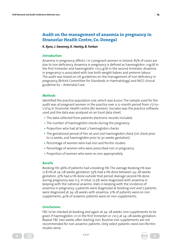# <span id="page-16-0"></span>**Audit on the management of anaemia in pregnancy in Stranorlar Health Centre, Co. Donegal**

#### *K. Kyne, J. Sweeney, K. Hanley, B. Forkan*

# *Introduction*

Anaemia in pregnancy affects 1 in 7 pregnant women in Ireland. 85% of cases are due to iron deficiency. Anaemia in pregnancy is defined as haemoglobin <11g/dl in the first trimester and haemoglobin <10.5 g/dl in the second trimester. Anaemia in pregnancy is associated with low birth weight babies and preterm labour. The audit was based on UK guidelines on the management of iron deficiency in pregnancy (British Committee for Standards in Haematology) and NICE clinical guideline 62 – Antenatal Care.

# *Methods*

Identified the practice population size, which was 6,000. The sample used for the audit was all pregnant women in the practice over a 12-month period from 1/7/13– 1/7/14 in Stranorlar Health centre (80 women). Socrates was the practice software used and the data was analysed on an Excel data sheet.

- **•** The data collected from patients electronic records included:
- **•** The number of haemoglobin checks during the pregnancy
- **•** Proportion who had at least 2 haemoglobin checks
- **•** The gestational period of the 1st and 2nd haemoglobin check (1st check prior to 12 weeks, 2nd haemoglobin prior to 30 weeks gestation)
- **•** Percentage of women who had iron and ferritin studies
- **•** Percentage of women who were prescribed iron in pregnancy
- **•** Proportion of women who were on iron appropriately

#### *Results*

Booking Hb: 96% of patients had a booking Hb. The average booking Hb was 12.8.Hb at 24–28 weeks gestation: 55% had a Hb done between 24–28 weeks gestation. 37% had a Hb done outside that period. Average second Hb done during pregnancy was 11.5. In total, 12.5% were diagnosed with anaemia in keeping with the national anaemic stats in keeping with the incidence of anaemia in pregnancy. 3 patients were diagnosed at booking visit and 7 patients were diagnosed at 24–28 weeks with anaemia. 21% of patients were on iron supplements. 40% of anaemic patients were on iron supplements.

#### *Conclusions*

FBC to be checked at booking and again at 24–28 weeks. Iron supplements to be given if haemoglobin <11 in the first trimester or <10.5 at 24–28 weeks gestation. Repeat FBC two weeks after starting iron. Routine iron supplements are not recommended for non-anaemic patients. Only select patients need iron/ferritin studies done.

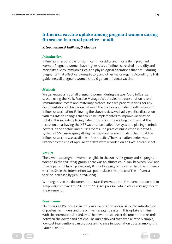# <span id="page-17-0"></span>**Influenza vaccine uptake among pregnant women during flu season in a rural practice – audit**

*K. Loganathan, P. Halligan, G. Maguire*

#### *Introduction*

Influenza is responsible for significant morbidity and mortality in pregnant women. Pregnant women have higher rates of influenza-related morbidity and mortality due to immunological and physiological alterations that occur during pregnancy that affect cardiorespiratory and other major organs. According to HSE guidelines, all pregnant women should get an influenza vaccine.

# *Methods*

We generated a list of all pregnant women during the 2013/2014 influenza season using the Helix Practice Manager. We studied the consultation record, immunisation record and maternity protocol for each patient, looking for any documentation of discussion between the doctors and patient with regards to influenza vaccination. Following the above review, we had a practice discussion with regards to changes that could be implemented to improve vaccination uptake. This included placing patient posters in the waiting room and at the reception area, having the HSE vaccination leaflet displayed and placing reminder posters in the doctors and nurses rooms. The practice nurses then initiated a system of SMS messaging all eligible pregnant women to alert them that the influenza vaccine was available in the practice. The vaccination period was October to the end of April. All the data were recorded on an Excel spread sheet.

#### *Results*

There were 44 pregnant women eligible in the 2013/2014 group and 40 pregnant women in the 2014/2015 group. There was an almost equal mix between GMS and private patients. In 2013/2014, only 8 out of 44 pregnant women had the influenza vaccine. Since the intervention was put in place, the uptake of the influenza vaccine increased by 32% in 2014/2015.

With regards to the documentation rate, there was a 100% documentation rate in 2014/2015 compared to 10% in the 2013/2014 season which was a very significant improvement.

#### *Conclusions*

There was a 32% increase in influenza vaccination uptake since the introduction of posters, reminders and the online messaging system. This uptake is in line with the international standards. There were also better documentation records between the doctor and patient. The audit showed that even relatively simple, low cost interventions can produce an increase in vaccination uptake among this patient cohort.

© ICGP

 $\left( \begin{array}{c} 1 \\ 2 \\ 3 \end{array} \right)$ 

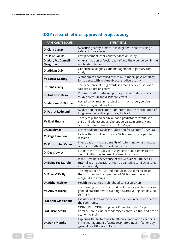| <b>APPLICANTS NAME</b>                 | <b>STUDY TITLE</b>                                                                                                                                              |  |  |
|----------------------------------------|-----------------------------------------------------------------------------------------------------------------------------------------------------------------|--|--|
| Dr Ciara Curran                        | Measuring safety climate in Irish general practice using a<br>safety climate survey                                                                             |  |  |
| <b>Dr Claire Collins</b>               | Post placement inter-country adoption study                                                                                                                     |  |  |
| Dr Mary Mc Donnell-<br><b>Naughton</b> | An examination of "social capital" and the older person in the<br>midlands of Ireland                                                                           |  |  |
| Dr Miriam Daly                         | Gonorrhoea diagnosis and management in primary care<br>study                                                                                                    |  |  |
| <b>Ms Louise Keating</b>               | A randomised controlled trial of multimodal physiotherapy<br>for patients with acute/sub-acute radiculopathy                                                    |  |  |
| <b>Dr Tomas Barry</b>                  | The experience of drug overdose among service users at a<br>satellite addiction centre                                                                          |  |  |
| Dr Andrew O'Regan                      | Communication between primary and secondary care: a<br>study of referral and discharge letters                                                                  |  |  |
| Dr Margaret O'Riordan                  | Accreditation research project on minor surgery service<br>delivery in general practice                                                                         |  |  |
| <b>Dr Patrick Redmond</b>              | Medication reconciliation - unintentional discontinuation of<br>long term medication post hospitalisation                                                       |  |  |
| <b>Ms Edel Birrane</b>                 | Theory of planned behaviour as a predictor of referrals to<br>child and adolescent psychology services, in primary and<br>continuing community care in Co. Mayo |  |  |
| Dr Jan Klimas                          | Better Addiction Medicine Education for Doctors (BEAMED)                                                                                                        |  |  |
| <b>Ms Olga Tummon</b>                  | Factors that would encourage GP trainees to take part in<br>research                                                                                            |  |  |
| <b>Mr Christopher Carew</b>            | Investigation into the benefits of swimming for asthmatics<br>compared with other sports/activities                                                             |  |  |
| <b>Dr Des Crowley</b>                  | Evaluate the attitudes of Irish general practitioners to the<br>decriminalisation and medical use of cannabis                                                   |  |  |
| <b>Dr Elaine Lee Murphy</b>            | Irish GP trainers experience of the GP trainer - Trainee 1:1<br>tutorial as an educational tool; a qualitative semi-structured<br>interview study               |  |  |
| Dr Fiona O'Reilly                      | The impact of a structured module in social medicine on<br>the attitudes and perspectives of GP trainees towards<br>marginalised groups                         |  |  |
| <b>Dr Michal Molcho</b>                | Health inequalities in childhood cancer survivors                                                                                                               |  |  |
| <b>Ms Amy Moriarty</b>                 | The training needs and attitudes of general practitioners and<br>general practitioners in training towards young people who<br>self-harm                        |  |  |
| <b>Prof Anne MacFarlane</b>            | Evaluation of innovative service provision in dementia care in<br>the community                                                                                 |  |  |
| <b>Prof Susan Smith</b>                | OPTI-SCRIPT: OPTImising PreSCRIbing for Older People in<br>Primary Care, a clusTer randomised controlled trial and health<br>economic analysis                  |  |  |
| Dr Maria Murphy                        | Exploring the factors which influence antibiotic prescribing<br>in the management of acute respiratory tract infections by<br>general practitioners in Ireland  |  |  |

# <span id="page-18-0"></span>**ICGP research ethics approved projects 2015**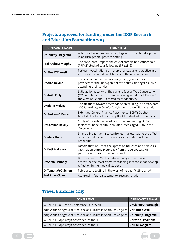# <span id="page-19-0"></span>**Projects approved for funding under the ICGP Research and Education Foundation 2015**

| <b>APPLICANTS NAME</b>     | <b>STUDY TITLE</b>                                                                                                                                                         |  |
|----------------------------|----------------------------------------------------------------------------------------------------------------------------------------------------------------------------|--|
| <b>Dr Tommy Fitzgerald</b> | Attitudes to exercise and weight gain in the antenatal period<br>in an Irish general practice setting                                                                      |  |
| <b>Prof Andrew Murphy</b>  | The prevalence, impact and cost of chronic non-cancer pain<br>(PRIME) study: 6 year follow-up (PRIME-6)                                                                    |  |
| Dr Aine O'Connell          | Pertussis vaccination during pregnancy, current practice and<br>attitudes of general practitioners in the west of Ireland                                                  |  |
| <b>Dr Alan Devine</b>      | The level of preparedness among early years' service<br>providers for the management of seizures amongst children<br>attending their service                               |  |
| Dr Aoife Kiely             | Satisfaction rates with the current Special Type Consultation<br>(STC) reimbursement scheme among general practitioners in<br>the west of Ireland - a mixed methods survey |  |
| <b>Dr Blaire Mulvey</b>    | The attitudes towards methadone prescribing in primary care<br>of GPs working in Co. Wexford, Ireland - a qualitative study                                                |  |
| Dr Andrew O'Regan          | Extended General Practice Placements (EGPP): Do they<br>facilitate the breadth and depth of the student experience?                                                        |  |
| Dr Caroline Delany         | Study of parents' knowledge and understanding of risk<br>factors for bone health in children/teens aged 8-16 in the<br>Gorey area                                          |  |
| <b>Dr Mark Hudson</b>      | Single blind randomised controlled trial evaluating the effect<br>of patient education to reduce re-consultation with acute<br>bronchitis                                  |  |
| Dr Ruth Hallissey          | Factors that influence the uptake of influenza and pertussis<br>vaccination during pregnancy from the perspective of<br>patients in the south east of Ireland              |  |
| Dr Sarah Flannery          | Best Evidence in Medical Education Systematic Review to<br>determine the most effective teaching methods that develop<br>reflection in the medical student                 |  |
| <b>Dr Tomas McGuinness</b> | Point of care testing in the west of Ireland: Testing who?                                                                                                                 |  |
| <b>Prof Brian Cleary</b>   | Maternal influenza vaccination research study                                                                                                                              |  |

# **Travel Bursaries 2015**

| <b>CONFERENCE</b>                                                | <b>APPLICANT'S NAME</b>    |
|------------------------------------------------------------------|----------------------------|
| WONCA Rural Health Conference, Dubrovnik                         | Dr Ciaran O'Fearraigh      |
| 2015 World Congress of Medicine and Health in Sport, Los Angeles | Dr Nathan Wall             |
| 2015 World Congress of Medicine and Health in Sport, Los Angeles | <b>Dr Tommy Fitzgerald</b> |
| WONCA Europe 2015 Conference, Istanbul                           | <b>Dr Patrick Redmond</b>  |
| WONCA Europe 2015 Conference, Istanbul                           | <b>Dr Niall Maguire</b>    |